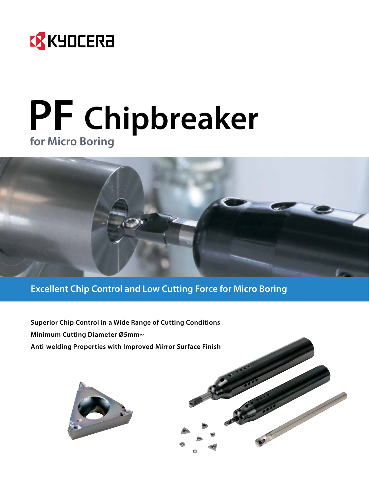

## **PF Chipbreaker for Micro Boring**



**Excellent Chip Control and Low Cutting Force for Micro Boring**

**Superior Chip Control in a Wide Range of Cutting Conditions Minimum Cutting Diameter Ø5mm~ Anti-welding Properties with Improved Mirror Surface Finish**



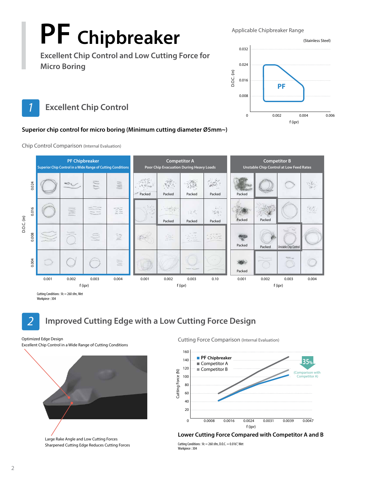# **PF Chipbreaker**

Applicable Chipbreaker Range

**Excellent Chip Control and Low Cutting Force for Micro Boring**



*<u>Excellent Chip Control</u>* 

#### **Superior chip control for micro boring (Minimum cutting diameter Ø5mm~)**



Chip Control Comparison (Internal Evaluation)

#### *2* **Improved Cutting Edge with a Low Cutting Force Design**

Workpiece : 304

Excellent Chip Control in a Wide Range of Cutting Conditions



Large Rake Angle and Low Cutting Forces Sharpened Cutting Edge Reduces Cutting Forces

Optimized Edge Design **Cutting Force Comparison** (Internal Evaluation)





Cutting Conditions :  $Vc = 260$  sfm, D.O.C. = 0.016", Wet Workpiece : 304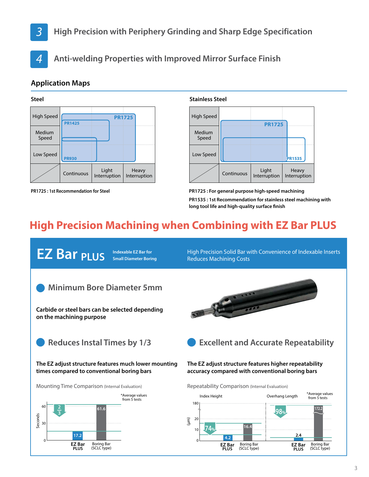### *3* **High Precision with Periphery Grinding and Sharp Edge Specification**



*4* **Anti-welding Properties with Improved Mirror Surface Finish**

#### **Application Maps**





**PR1725 : 1st Recommendation for Steel**



**PR1725 : For general purpose high-speed machining PR1535 : 1st Recommendation for stainless steel machining with long tool life and high-quality surface finish**

### **High Precision Machining when Combining with EZ Bar PLUS**